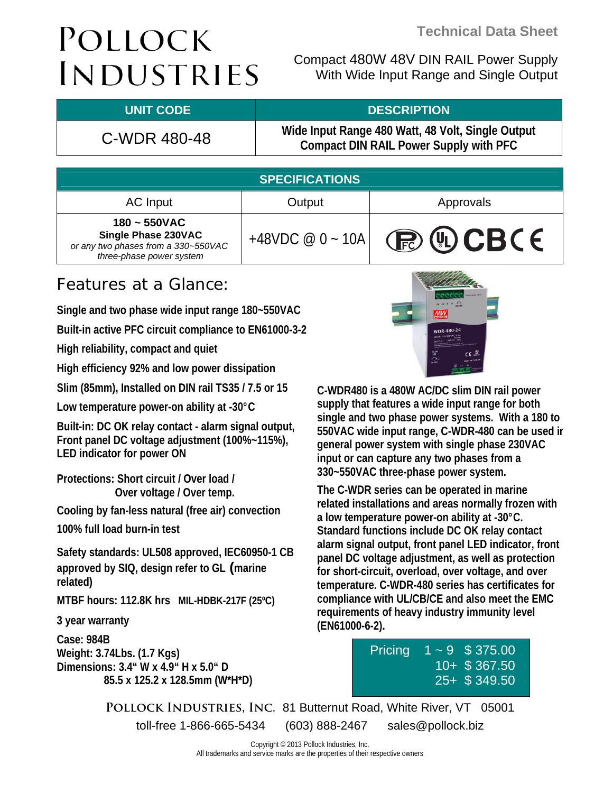# POLLOCK INDUSTRIES

Compact 480W 48V DIN RAIL Power Supply With Wide Input Range and Single Output

#### **UNIT CODE DESCRIPTION**

C-WDR 480-48 **Wide Input Range 480 Watt, 48 Volt, Single Output Compact DIN RAIL Power Supply with PFC**

| <b>SPECIFICATIONS</b>                                                                                    |                   |             |  |  |
|----------------------------------------------------------------------------------------------------------|-------------------|-------------|--|--|
| AC Input                                                                                                 | Output            | Approvals   |  |  |
| $180 - 550VAC$<br>Single Phase 230VAC<br>or any two phases from a 330~550VAC<br>three-phase power system | +48VDC $@0 - 10A$ | (P) 4D CBCE |  |  |

### Features at a Glance:

**Single and two phase wide input range 180~550VAC** 

**Built-in active PFC circuit compliance to EN61000-3-2** 

**High reliability, compact and quiet** 

**High efficiency 92% and low power dissipation** 

**Slim (85mm), Installed on DIN rail TS35 / 7.5 or 15** 

**Low temperature power-on ability at -30°C** 

**Built-in: DC OK relay contact - alarm signal output, Front panel DC voltage adjustment (100%~115%), LED indicator for power ON** 

**Protections: Short circuit / Over load / Over voltage / Over temp.** 

**Cooling by fan-less natural (free air) convection 100% full load burn-in test** 

**Safety standards: UL508 approved, IEC60950-1 CB approved by SIQ, design refer to GL (marine related)** 

**MTBF hours: 112.8K hrs MIL-HDBK-217F (25ºC)** 

**3 year warranty** 

**Case: 984B Weight: 3.74Lbs. (1.7 Kgs) Dimensions: 3.4" W x 4.9" H x 5.0" D 85.5 x 125.2 x 128.5mm (W\*H\*D)** 



**C-WDR480 is a 480W AC/DC slim DIN rail power supply that features a wide input range for both single and two phase power systems. With a 180 to 550VAC wide input range, C-WDR-480 can be used in general power system with single phase 230VAC input or can capture any two phases from a 330~550VAC three-phase power system.** 

**The C-WDR series can be operated in marine related installations and areas normally frozen with a low temperature power-on ability at -30°C. Standard functions include DC OK relay contact alarm signal output, front panel LED indicator, front panel DC voltage adjustment, as well as protection for short-circuit, overload, over voltage, and over temperature. C-WDR-480 series has certificates for compliance with UL/CB/CE and also meet the EMC requirements of heavy industry immunity level (EN61000-6-2).** 

| Pricing | $1 \sim 9$ \$375.00 |
|---------|---------------------|
|         | 10+ \$367.50        |
|         | $25 +$ \$349.50     |

**Pollock Industries, Inc.** 81 Butternut Road, White River, VT 05001 toll-free 1-866-665-5434 (603) 888-2467 sales@pollock.biz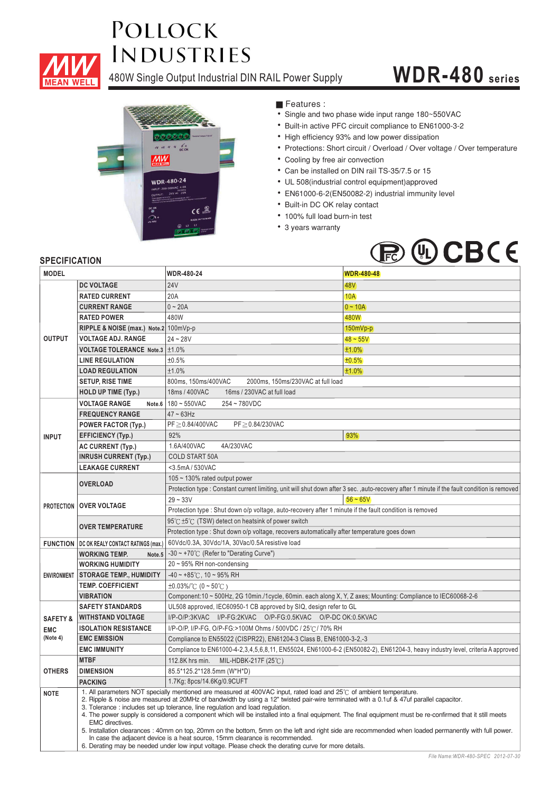

## **POLLOCK INDUSTRIES**

480W Single Output Industrial DIN RAIL Power Supply

## **WDR-480 series**



**Features :** 

- Single and two phase wide input range 180~550VAC
- Built-in active PFC circuit compliance to EN61000-3-2
- High efficiency 93% and low power dissipation
- Protections: Short circuit / Overload / Over voltage / Over temperature
- Cooling by free air convection
- Can be installed on DIN rail TS-35/7.5 or 15
- UL 508(industrial control equipment)approved ¡E¡E¡E¡E¡E¡E¡E¡E¡E¡E¡E
- EN61000-6-2(EN50082-2) industrial immunity level
- Built-in DC OK relay contact
- 100% full load burn-in test
- 3 years warranty



#### **SPECIFICATION**

| <b>MODEL</b>            |                                                                                                                                                                                                                                                                                                                                                                                                                                                                                                                                                                                                                                                                                                                                                                                                                                                                                    | <b>WDR-480-24</b>                                                                                                              | <b>WDR-480-48</b>                                                                                                                             |  |
|-------------------------|------------------------------------------------------------------------------------------------------------------------------------------------------------------------------------------------------------------------------------------------------------------------------------------------------------------------------------------------------------------------------------------------------------------------------------------------------------------------------------------------------------------------------------------------------------------------------------------------------------------------------------------------------------------------------------------------------------------------------------------------------------------------------------------------------------------------------------------------------------------------------------|--------------------------------------------------------------------------------------------------------------------------------|-----------------------------------------------------------------------------------------------------------------------------------------------|--|
| <b>OUTPUT</b>           | <b>DC VOLTAGE</b>                                                                                                                                                                                                                                                                                                                                                                                                                                                                                                                                                                                                                                                                                                                                                                                                                                                                  | <b>24V</b>                                                                                                                     | 48 <sub>V</sub>                                                                                                                               |  |
|                         | <b>RATED CURRENT</b>                                                                                                                                                                                                                                                                                                                                                                                                                                                                                                                                                                                                                                                                                                                                                                                                                                                               | 20A                                                                                                                            | <b>10A</b>                                                                                                                                    |  |
|                         | <b>CURRENT RANGE</b>                                                                                                                                                                                                                                                                                                                                                                                                                                                                                                                                                                                                                                                                                                                                                                                                                                                               | $0 - 20A$                                                                                                                      | $0 - 10A$                                                                                                                                     |  |
|                         | <b>RATED POWER</b>                                                                                                                                                                                                                                                                                                                                                                                                                                                                                                                                                                                                                                                                                                                                                                                                                                                                 | 480W                                                                                                                           | 480W                                                                                                                                          |  |
|                         | RIPPLE & NOISE (max.) Note.2 100mVp-p                                                                                                                                                                                                                                                                                                                                                                                                                                                                                                                                                                                                                                                                                                                                                                                                                                              |                                                                                                                                | $150mVp-p$                                                                                                                                    |  |
|                         | <b>VOLTAGE ADJ. RANGE</b>                                                                                                                                                                                                                                                                                                                                                                                                                                                                                                                                                                                                                                                                                                                                                                                                                                                          | $24 - 28V$                                                                                                                     | $48 - 55V$                                                                                                                                    |  |
|                         | VOLTAGE TOLERANCE Note.3   ±1.0%                                                                                                                                                                                                                                                                                                                                                                                                                                                                                                                                                                                                                                                                                                                                                                                                                                                   |                                                                                                                                | ±1.0%                                                                                                                                         |  |
|                         | <b>LINE REGULATION</b>                                                                                                                                                                                                                                                                                                                                                                                                                                                                                                                                                                                                                                                                                                                                                                                                                                                             | ±0.5%                                                                                                                          | ±0.5%                                                                                                                                         |  |
|                         | <b>LOAD REGULATION</b>                                                                                                                                                                                                                                                                                                                                                                                                                                                                                                                                                                                                                                                                                                                                                                                                                                                             | ±1.0%                                                                                                                          | ±1.0%                                                                                                                                         |  |
|                         | <b>SETUP, RISE TIME</b>                                                                                                                                                                                                                                                                                                                                                                                                                                                                                                                                                                                                                                                                                                                                                                                                                                                            | 800ms, 150ms/400VAC<br>2000ms, 150ms/230VAC at full load                                                                       |                                                                                                                                               |  |
|                         | <b>HOLD UP TIME (Typ.)</b>                                                                                                                                                                                                                                                                                                                                                                                                                                                                                                                                                                                                                                                                                                                                                                                                                                                         | 18ms / 400VAC<br>16ms / 230VAC at full load                                                                                    |                                                                                                                                               |  |
|                         | <b>VOLTAGE RANGE</b><br>Note.6                                                                                                                                                                                                                                                                                                                                                                                                                                                                                                                                                                                                                                                                                                                                                                                                                                                     | 180~550VAC<br>254~780VDC                                                                                                       |                                                                                                                                               |  |
|                         | <b>FREQUENCY RANGE</b>                                                                                                                                                                                                                                                                                                                                                                                                                                                                                                                                                                                                                                                                                                                                                                                                                                                             | $47 \sim 63$ Hz                                                                                                                |                                                                                                                                               |  |
|                         | <b>POWER FACTOR (Typ.)</b>                                                                                                                                                                                                                                                                                                                                                                                                                                                                                                                                                                                                                                                                                                                                                                                                                                                         | PF≥0.84/400VAC<br>PF≥0.84/230VAC                                                                                               |                                                                                                                                               |  |
| <b>INPUT</b>            | <b>EFFICIENCY (Typ.)</b>                                                                                                                                                                                                                                                                                                                                                                                                                                                                                                                                                                                                                                                                                                                                                                                                                                                           | 92%                                                                                                                            | 93%                                                                                                                                           |  |
|                         | <b>AC CURRENT (Typ.)</b>                                                                                                                                                                                                                                                                                                                                                                                                                                                                                                                                                                                                                                                                                                                                                                                                                                                           | 1.6A/400VAC<br>4A/230VAC                                                                                                       |                                                                                                                                               |  |
|                         | <b>INRUSH CURRENT (Typ.)</b>                                                                                                                                                                                                                                                                                                                                                                                                                                                                                                                                                                                                                                                                                                                                                                                                                                                       | <b>COLD START 50A</b>                                                                                                          |                                                                                                                                               |  |
| <b>LEAKAGE CURRENT</b>  |                                                                                                                                                                                                                                                                                                                                                                                                                                                                                                                                                                                                                                                                                                                                                                                                                                                                                    | <3.5mA / 530VAC                                                                                                                |                                                                                                                                               |  |
|                         |                                                                                                                                                                                                                                                                                                                                                                                                                                                                                                                                                                                                                                                                                                                                                                                                                                                                                    | 105 ~ 130% rated output power                                                                                                  |                                                                                                                                               |  |
|                         | <b>OVERLOAD</b>                                                                                                                                                                                                                                                                                                                                                                                                                                                                                                                                                                                                                                                                                                                                                                                                                                                                    |                                                                                                                                | Protection type : Constant current limiting, unit will shut down after 3 sec., auto-recovery after 1 minute if the fault condition is removed |  |
|                         |                                                                                                                                                                                                                                                                                                                                                                                                                                                                                                                                                                                                                                                                                                                                                                                                                                                                                    | $29 - 33V$                                                                                                                     | $56 - 65V$                                                                                                                                    |  |
|                         | PROTECTION   OVER VOLTAGE                                                                                                                                                                                                                                                                                                                                                                                                                                                                                                                                                                                                                                                                                                                                                                                                                                                          | Protection type : Shut down o/p voltage, auto-recovery after 1 minute if the fault condition is removed                        |                                                                                                                                               |  |
| <b>OVER TEMPERATURE</b> |                                                                                                                                                                                                                                                                                                                                                                                                                                                                                                                                                                                                                                                                                                                                                                                                                                                                                    | 95℃ ±5℃ (TSW) detect on heatsink of power switch                                                                               |                                                                                                                                               |  |
|                         |                                                                                                                                                                                                                                                                                                                                                                                                                                                                                                                                                                                                                                                                                                                                                                                                                                                                                    | Protection type : Shut down o/p voltage, recovers automatically after temperature goes down                                    |                                                                                                                                               |  |
|                         | <b>FUNCTION   DC OK REALY CONTACT RATINGS (max.)</b>                                                                                                                                                                                                                                                                                                                                                                                                                                                                                                                                                                                                                                                                                                                                                                                                                               | 60Vdc/0.3A, 30Vdc/1A, 30Vac/0.5A resistive load                                                                                |                                                                                                                                               |  |
|                         | <b>WORKING TEMP.</b><br>Note.5                                                                                                                                                                                                                                                                                                                                                                                                                                                                                                                                                                                                                                                                                                                                                                                                                                                     | $-30 \sim +70^{\circ}$ (Refer to "Derating Curve")                                                                             |                                                                                                                                               |  |
|                         | <b>WORKING HUMIDITY</b>                                                                                                                                                                                                                                                                                                                                                                                                                                                                                                                                                                                                                                                                                                                                                                                                                                                            | 20~95% RH non-condensing                                                                                                       |                                                                                                                                               |  |
| <b>ENVIRONMENT</b>      | <b>STORAGE TEMP., HUMIDITY</b>                                                                                                                                                                                                                                                                                                                                                                                                                                                                                                                                                                                                                                                                                                                                                                                                                                                     | $-40 \sim +85^{\circ}$ C, 10 ~ 95% RH                                                                                          |                                                                                                                                               |  |
|                         | <b>TEMP. COEFFICIENT</b>                                                                                                                                                                                                                                                                                                                                                                                                                                                                                                                                                                                                                                                                                                                                                                                                                                                           | $\pm 0.03\%$ (0 ~ 50°C)                                                                                                        |                                                                                                                                               |  |
|                         | <b>VIBRATION</b>                                                                                                                                                                                                                                                                                                                                                                                                                                                                                                                                                                                                                                                                                                                                                                                                                                                                   | Component:10 ~ 500Hz, 2G 10min./1cycle, 60min. each along X, Y, Z axes; Mounting: Compliance to IEC60068-2-6                   |                                                                                                                                               |  |
|                         | <b>SAFETY STANDARDS</b>                                                                                                                                                                                                                                                                                                                                                                                                                                                                                                                                                                                                                                                                                                                                                                                                                                                            | UL508 approved, IEC60950-1 CB approved by SIQ, design refer to GL                                                              |                                                                                                                                               |  |
| <b>SAFETY &amp;</b>     | <b>WITHSTAND VOLTAGE</b>                                                                                                                                                                                                                                                                                                                                                                                                                                                                                                                                                                                                                                                                                                                                                                                                                                                           | I/P-O/P:3KVAC I/P-FG:2KVAC O/P-FG:0.5KVAC O/P-DCOK:0.5KVAC                                                                     |                                                                                                                                               |  |
| <b>EMC</b>              | <b>ISOLATION RESISTANCE</b>                                                                                                                                                                                                                                                                                                                                                                                                                                                                                                                                                                                                                                                                                                                                                                                                                                                        | I/P-O/P, I/P-FG, O/P-FG:>100M Ohms / 500VDC / 25℃/ 70% RH                                                                      |                                                                                                                                               |  |
| (Note 4)                | <b>EMC EMISSION</b>                                                                                                                                                                                                                                                                                                                                                                                                                                                                                                                                                                                                                                                                                                                                                                                                                                                                | Compliance to EN55022 (CISPR22), EN61204-3 Class B, EN61000-3-2,-3                                                             |                                                                                                                                               |  |
|                         | <b>EMC IMMUNITY</b>                                                                                                                                                                                                                                                                                                                                                                                                                                                                                                                                                                                                                                                                                                                                                                                                                                                                | Compliance to EN61000-4-2,3,4,5,6,8,11, EN55024, EN61000-6-2 (EN50082-2), EN61204-3, heavy industry level, criteria A approved |                                                                                                                                               |  |
|                         | <b>MTBF</b>                                                                                                                                                                                                                                                                                                                                                                                                                                                                                                                                                                                                                                                                                                                                                                                                                                                                        | 112.8K hrs min. MIL-HDBK-217F (25°C)                                                                                           |                                                                                                                                               |  |
| <b>OTHERS</b>           | <b>DIMENSION</b>                                                                                                                                                                                                                                                                                                                                                                                                                                                                                                                                                                                                                                                                                                                                                                                                                                                                   | 85.5*125.2*128.5mm (W*H*D)                                                                                                     |                                                                                                                                               |  |
|                         | <b>PACKING</b>                                                                                                                                                                                                                                                                                                                                                                                                                                                                                                                                                                                                                                                                                                                                                                                                                                                                     | 1.7Kg; 8pcs/14.6Kg/0.9CUFT                                                                                                     |                                                                                                                                               |  |
| <b>NOTE</b>             | 1. All parameters NOT specially mentioned are measured at 400VAC input, rated load and 25°C of ambient temperature.<br>2. Ripple & noise are measured at 20MHz of bandwidth by using a 12" twisted pair-wire terminated with a 0.1uf & 47uf parallel capacitor.<br>3. Tolerance : includes set up tolerance, line regulation and load regulation.<br>4. The power supply is considered a component which will be installed into a final equipment. The final equipment must be re-confirmed that it still meets<br>EMC directives.<br>5. Installation clearances: 40mm on top, 20mm on the bottom, 5mm on the left and right side are recommended when loaded permanently with full power.<br>In case the adjacent device is a heat source, 15mm clearance is recommended.<br>6. Derating may be needed under low input voltage. Please check the derating curve for more details. |                                                                                                                                |                                                                                                                                               |  |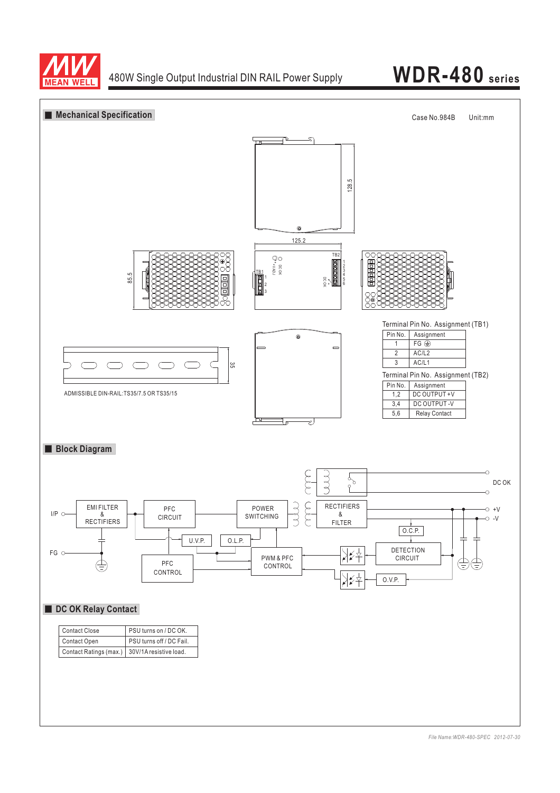